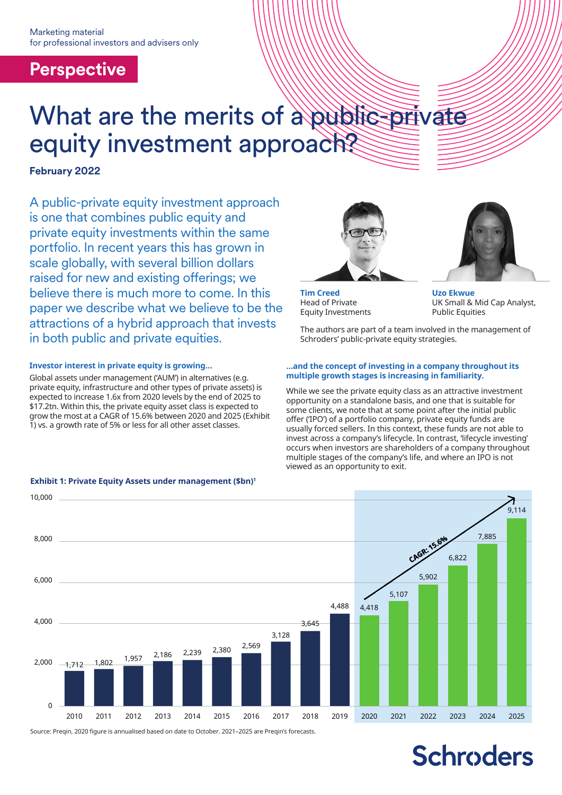## **Perspective**

# What are the merits of a public-private equity investment approach?

## **February 2022**

A public-private equity investment approach is one that combines public equity and private equity investments within the same portfolio. In recent years this has grown in scale globally, with several billion dollars raised for new and existing offerings; we believe there is much more to come. In this paper we describe what we believe to be the attractions of a hybrid approach that invests in both public and private equities.

### **Investor interest in private equity is growing…**

Global assets under management ('AUM') in alternatives (e.g. private equity, infrastructure and other types of private assets) is expected to increase 1.6x from 2020 levels by the end of 2025 to \$17.2tn. Within this, the private equity asset class is expected to grow the most at a CAGR of 15.6% between 2020 and 2025 (Exhibit 1) vs. a growth rate of 5% or less for all other asset classes.

### **Exhibit 1: Private Equity Assets under management (\$bn)1**



**Tim Creed** Head of Private Equity Investments



**Uzo Ekwue** UK Small & Mid Cap Analyst, Public Equities

The authors are part of a team involved in the management of Schroders' public-private equity strategies.

#### **…and the concept of investing in a company throughout its multiple growth stages is increasing in familiarity.**

While we see the private equity class as an attractive investment opportunity on a standalone basis, and one that is suitable for some clients, we note that at some point after the initial public offer ('IPO') of a portfolio company, private equity funds are usually forced sellers. In this context, these funds are not able to invest across a company's lifecycle. In contrast, 'lifecycle investing' occurs when investors are shareholders of a company throughout multiple stages of the company's life, and where an IPO is not viewed as an opportunity to exit.



Source: Preqin, 2020 figure is annualised based on date to October. 2021–2025 are Preqin's forecasts.

# **Schroders**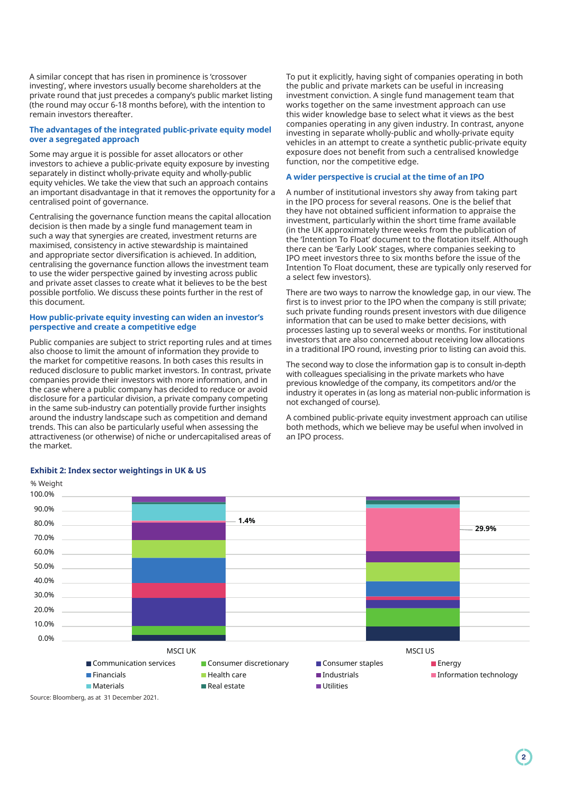A similar concept that has risen in prominence is 'crossover investing', where investors usually become shareholders at the private round that just precedes a company's public market listing (the round may occur 6-18 months before), with the intention to remain investors thereafter.

#### **The advantages of the integrated public-private equity model over a segregated approach**

Some may argue it is possible for asset allocators or other investors to achieve a public-private equity exposure by investing separately in distinct wholly-private equity and wholly-public equity vehicles. We take the view that such an approach contains an important disadvantage in that it removes the opportunity for a centralised point of governance.

Centralising the governance function means the capital allocation decision is then made by a single fund management team in such a way that synergies are created, investment returns are maximised, consistency in active stewardship is maintained and appropriate sector diversification is achieved. In addition, centralising the governance function allows the investment team to use the wider perspective gained by investing across public and private asset classes to create what it believes to be the best possible portfolio. We discuss these points further in the rest of this document.

#### **How public-private equity investing can widen an investor's perspective and create a competitive edge**

Public companies are subject to strict reporting rules and at times also choose to limit the amount of information they provide to the market for competitive reasons. In both cases this results in reduced disclosure to public market investors. In contrast, private companies provide their investors with more information, and in the case where a public company has decided to reduce or avoid disclosure for a particular division, a private company competing in the same sub-industry can potentially provide further insights around the industry landscape such as competition and demand trends. This can also be particularly useful when assessing the attractiveness (or otherwise) of niche or undercapitalised areas of the market.

To put it explicitly, having sight of companies operating in both the public and private markets can be useful in increasing investment conviction. A single fund management team that works together on the same investment approach can use this wider knowledge base to select what it views as the best companies operating in any given industry. In contrast, anyone investing in separate wholly-public and wholly-private equity vehicles in an attempt to create a synthetic public-private equity exposure does not benefit from such a centralised knowledge function, nor the competitive edge.

#### **A wider perspective is crucial at the time of an IPO**

A number of institutional investors shy away from taking part in the IPO process for several reasons. One is the belief that they have not obtained sufficient information to appraise the investment, particularly within the short time frame available (in the UK approximately three weeks from the publication of the 'Intention To Float' document to the flotation itself. Although there can be 'Early Look' stages, where companies seeking to IPO meet investors three to six months before the issue of the Intention To Float document, these are typically only reserved for a select few investors).

There are two ways to narrow the knowledge gap, in our view. The first is to invest prior to the IPO when the company is still private; such private funding rounds present investors with due diligence information that can be used to make better decisions, with processes lasting up to several weeks or months. For institutional investors that are also concerned about receiving low allocations in a traditional IPO round, investing prior to listing can avoid this.

The second way to close the information gap is to consult in-depth with colleagues specialising in the private markets who have previous knowledge of the company, its competitors and/or the industry it operates in (as long as material non-public information is not exchanged of course).

A combined public-private equity investment approach can utilise both methods, which we believe may be useful when involved in an IPO process.



#### **Exhibit 2: Index sector weightings in UK & US**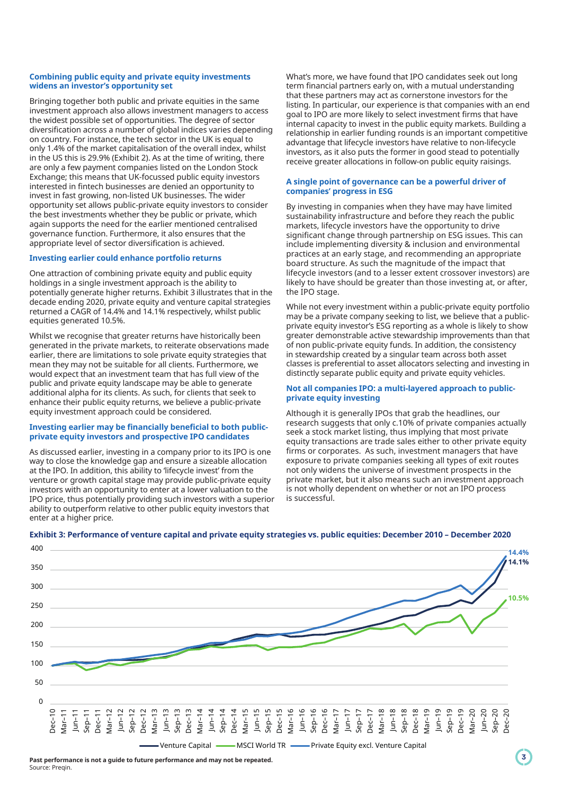#### **Combining public equity and private equity investments widens an investor's opportunity set**

Bringing together both public and private equities in the same investment approach also allows investment managers to access the widest possible set of opportunities. The degree of sector diversification across a number of global indices varies depending on country. For instance, the tech sector in the UK is equal to only 1.4% of the market capitalisation of the overall index, whilst in the US this is 29.9% (Exhibit 2). As at the time of writing, there are only a few payment companies listed on the London Stock Exchange; this means that UK-focussed public equity investors interested in fintech businesses are denied an opportunity to invest in fast growing, non-listed UK businesses. The wider opportunity set allows public-private equity investors to consider the best investments whether they be public or private, which again supports the need for the earlier mentioned centralised governance function. Furthermore, it also ensures that the appropriate level of sector diversification is achieved.

#### **Investing earlier could enhance portfolio returns**

One attraction of combining private equity and public equity holdings in a single investment approach is the ability to potentially generate higher returns. Exhibit 3 illustrates that in the decade ending 2020, private equity and venture capital strategies returned a CAGR of 14.4% and 14.1% respectively, whilst public equities generated 10.5%.

Whilst we recognise that greater returns have historically been generated in the private markets, to reiterate observations made earlier, there are limitations to sole private equity strategies that mean they may not be suitable for all clients. Furthermore, we would expect that an investment team that has full view of the public and private equity landscape may be able to generate additional alpha for its clients. As such, for clients that seek to enhance their public equity returns, we believe a public-private equity investment approach could be considered.

#### **Investing earlier may be financially beneficial to both publicprivate equity investors and prospective IPO candidates**

As discussed earlier, investing in a company prior to its IPO is one way to close the knowledge gap and ensure a sizeable allocation at the IPO. In addition, this ability to 'lifecycle invest' from the venture or growth capital stage may provide public-private equity investors with an opportunity to enter at a lower valuation to the IPO price, thus potentially providing such investors with a superior ability to outperform relative to other public equity investors that enter at a higher price.

What's more, we have found that IPO candidates seek out long term financial partners early on, with a mutual understanding that these partners may act as cornerstone investors for the listing. In particular, our experience is that companies with an end goal to IPO are more likely to select investment firms that have internal capacity to invest in the public equity markets. Building a relationship in earlier funding rounds is an important competitive advantage that lifecycle investors have relative to non-lifecycle investors, as it also puts the former in good stead to potentially receive greater allocations in follow-on public equity raisings.

#### **A single point of governance can be a powerful driver of companies' progress in ESG**

By investing in companies when they have may have limited sustainability infrastructure and before they reach the public markets, lifecycle investors have the opportunity to drive significant change through partnership on ESG issues. This can include implementing diversity & inclusion and environmental practices at an early stage, and recommending an appropriate board structure. As such the magnitude of the impact that lifecycle investors (and to a lesser extent crossover investors) are likely to have should be greater than those investing at, or after, the IPO stage.

While not every investment within a public-private equity portfolio may be a private company seeking to list, we believe that a publicprivate equity investor's ESG reporting as a whole is likely to show greater demonstrable active stewardship improvements than that of non public-private equity funds. In addition, the consistency in stewardship created by a singular team across both asset classes is preferential to asset allocators selecting and investing in distinctly separate public equity and private equity vehicles.

#### **Not all companies IPO: a multi-layered approach to publicprivate equity investing**

Although it is generally IPOs that grab the headlines, our research suggests that only c.10% of private companies actually seek a stock market listing, thus implying that most private equity transactions are trade sales either to other private equity firms or corporates. As such, investment managers that have exposure to private companies seeking all types of exit routes not only widens the universe of investment prospects in the private market, but it also means such an investment approach is not wholly dependent on whether or not an IPO process is successful.



#### **Exhibit 3: Performance of venture capital and private equity strategies vs. public equities: December 2010 – December 2020**

**Past performance is not a guide to future performance and may not be repeated.** Source: Preqin.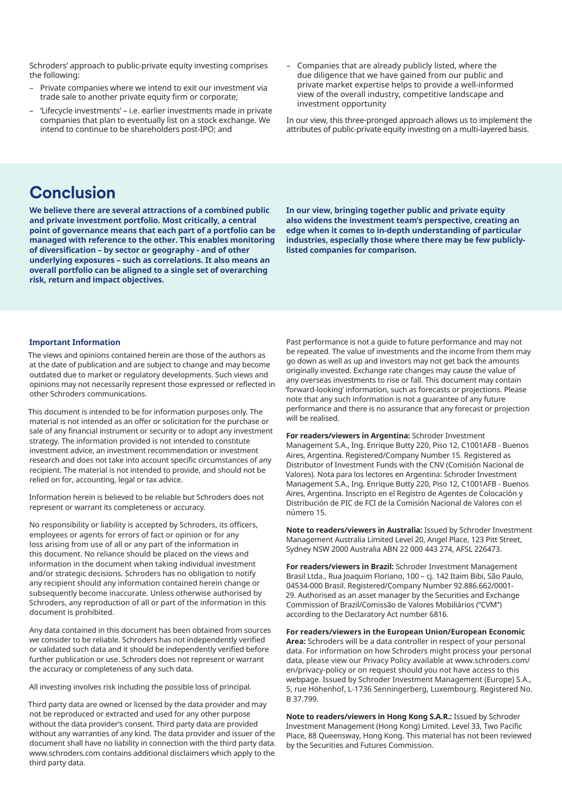Schroders' approach to public-private equity investing comprises the following:

- Private companies where we intend to exit our investment via trade sale to another private equity firm or corporate;
- 'Lifecycle investments' i.e. earlier investments made in private companies that plan to eventually list on a stock exchange. We intend to continue to be shareholders post-IPO; and
- Companies that are already publicly listed, where the due diligence that we have gained from our public and private market expertise helps to provide a well-informed view of the overall industry, competitive landscape and investment opportunity

In our view, this three-pronged approach allows us to implement the attributes of public-private equity investing on a multi-layered basis.

## **Conclusion**

**We believe there are several attractions of a combined public and private investment portfolio. Most critically, a central point of governance means that each part of a portfolio can be managed with reference to the other. This enables monitoring of diversification – by sector or geography - and of other underlying exposures – such as correlations. It also means an overall portfolio can be aligned to a single set of overarching risk, return and impact objectives.**

**In our view, bringing together public and private equity also widens the investment team's perspective, creating an edge when it comes to in-depth understanding of particular industries, especially those where there may be few publiclylisted companies for comparison.**

#### **Important Information**

The views and opinions contained herein are those of the authors as at the date of publication and are subject to change and may become outdated due to market or regulatory developments. Such views and opinions may not necessarily represent those expressed or reflected in other Schroders communications.

This document is intended to be for information purposes only. The material is not intended as an offer or solicitation for the purchase or sale of any financial instrument or security or to adopt any investment strategy. The information provided is not intended to constitute investment advice, an investment recommendation or investment research and does not take into account specific circumstances of any recipient. The material is not intended to provide, and should not be relied on for, accounting, legal or tax advice.

Information herein is believed to be reliable but Schroders does not represent or warrant its completeness or accuracy.

No responsibility or liability is accepted by Schroders, its officers, employees or agents for errors of fact or opinion or for any loss arising from use of all or any part of the information in this document. No reliance should be placed on the views and information in the document when taking individual investment and/or strategic decisions. Schroders has no obligation to notify any recipient should any information contained herein change or subsequently become inaccurate. Unless otherwise authorised by Schroders, any reproduction of all or part of the information in this document is prohibited.

Any data contained in this document has been obtained from sources we consider to be reliable. Schroders has not independently verified or validated such data and it should be independently verified before further publication or use. Schroders does not represent or warrant the accuracy or completeness of any such data.

All investing involves risk including the possible loss of principal.

Third party data are owned or licensed by the data provider and may not be reproduced or extracted and used for any other purpose without the data provider's consent. Third party data are provided without any warranties of any kind. The data provider and issuer of the document shall have no liability in connection with the third party data. www.schroders.com contains additional disclaimers which apply to the third party data.

Past performance is not a guide to future performance and may not be repeated. The value of investments and the income from them may go down as well as up and investors may not get back the amounts originally invested. Exchange rate changes may cause the value of any overseas investments to rise or fall. This document may contain 'forward-looking' information, such as forecasts or projections. Please note that any such information is not a guarantee of any future performance and there is no assurance that any forecast or projection will be realised.

**For readers/viewers in Argentina:** Schroder Investment Management S.A., Ing. Enrique Butty 220, Piso 12, C1001AFB - Buenos Aires, Argentina. Registered/Company Number 15. Registered as Distributor of Investment Funds with the CNV (Comisión Nacional de Valores). Nota para los lectores en Argentina: Schroder Investment Management S.A., Ing. Enrique Butty 220, Piso 12, C1001AFB - Buenos Aires, Argentina. Inscripto en el Registro de Agentes de Colocación y Distribución de PIC de FCI de la Comisión Nacional de Valores con el número 15.

**Note to readers/viewers in Australia:** Issued by Schroder Investment Management Australia Limited Level 20, Angel Place, 123 Pitt Street, Sydney NSW 2000 Australia ABN 22 000 443 274, AFSL 226473.

**For readers/viewers in Brazil:** Schroder Investment Management Brasil Ltda., Rua Joaquim Floriano, 100 – cj. 142 Itaim Bibi, São Paulo, 04534-000 Brasil. Registered/Company Number 92.886.662/0001- 29. Authorised as an asset manager by the Securities and Exchange Commission of Brazil/Comissão de Valores Mobiliários ("CVM") according to the Declaratory Act number 6816.

**For readers/viewers in the European Union/European Economic Area:** Schroders will be a data controller in respect of your personal data. For information on how Schroders might process your personal data, please view our Privacy Policy available at www.schroders.com/ en/privacy-policy or on request should you not have access to this webpage. Issued by Schroder Investment Management (Europe) S.A., 5, rue Höhenhof, L-1736 Senningerberg, Luxembourg. Registered No. B 37.799.

**Note to readers/viewers in Hong Kong S.A.R.:** Issued by Schroder Investment Management (Hong Kong) Limited. Level 33, Two Pacific Place, 88 Queensway, Hong Kong. This material has not been reviewed by the Securities and Futures Commission.